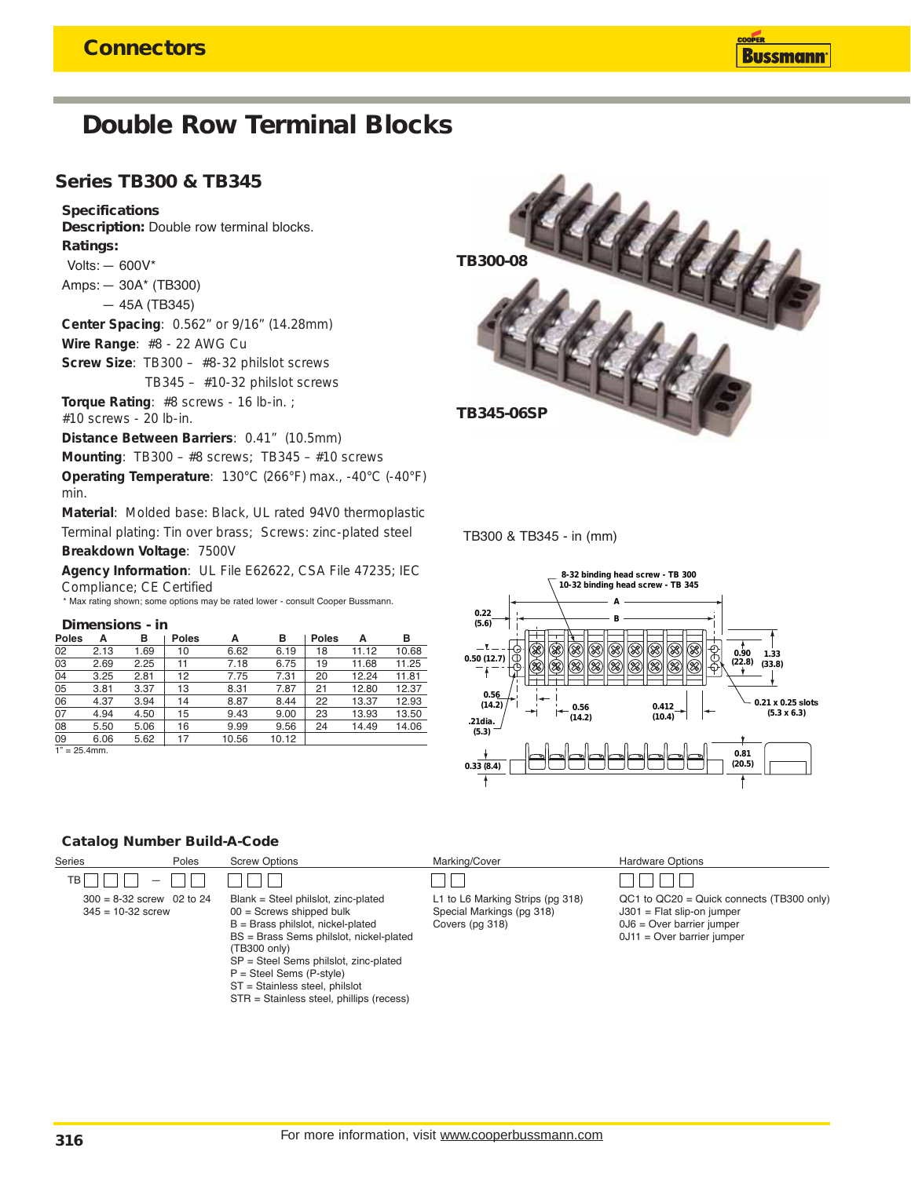## **Double Row Terminal Blocks**

### **Series TB300 & TB345**

#### **Specifications**

**Description:** Double row terminal blocks. **Ratings:**

- $Volts: 600V^*$
- Amps: 30A\* (TB300)
	- 45A (TB345)

**Center Spacing**: 0.562" or 9/16" (14.28mm) **Wire Range**: #8 - 22 AWG Cu

**Screw Size**: TB300 – #8-32 philslot screws

TB345 – #10-32 philslot screws

**Torque Rating**: #8 screws - 16 lb-in. ; #10 screws - 20 lb-in.

**Distance Between Barriers**: 0.41" (10.5mm)

**Mounting**: TB300 – #8 screws; TB345 – #10 screws

**Operating Temperature**: 130°C (266°F) max., -40°C (-40°F) min.

**Material**: Molded base: Black, UL rated 94V0 thermoplastic Terminal plating: Tin over brass; Screws: zinc-plated steel **Breakdown Voltage**: 7500V

**Agency Information**: UL File E62622, CSA File 47235; IEC Compliance; CE Certified

\* Max rating shown; some options may be rated lower - consult Cooper Bussmann.

#### **Dimensions - in**

| Poles | А    | в    | <b>Poles</b> | А     | в     | <b>Poles</b> | А     | в     |
|-------|------|------|--------------|-------|-------|--------------|-------|-------|
| 02    | 2.13 | 1.69 | 10           | 6.62  | 6.19  | 18           | 11.12 | 10.68 |
| 03    | 2.69 | 2.25 | 11           | 7.18  | 6.75  | 19           | 11.68 | 11.25 |
| 04    | 3.25 | 2.81 | 12           | 7.75  | 7.31  | 20           | 12.24 | 11.81 |
| 05    | 3.81 | 3.37 | 13           | 8.31  | 7.87  | 21           | 12.80 | 12.37 |
| 06    | 4.37 | 3.94 | 14           | 8.87  | 8.44  | 22           | 13.37 | 12.93 |
| 07    | 4.94 | 4.50 | 15           | 9.43  | 9.00  | 23           | 13.93 | 13.50 |
| 08    | 5.50 | 5.06 | 16           | 9.99  | 9.56  | 24           | 14.49 | 14.06 |
| 09    | 6.06 | 5.62 | 17           | 10.56 | 10.12 |              |       |       |
|       |      |      |              |       |       |              |       |       |

 $1" = 25.4$ mm.



TB300 & TB345 - in (mm)



#### **Catalog Number Build-A-Code**

| <b>Series</b>                                          | Poles | <b>Screw Options</b>                                                                                                                                                                                                                                                                                                     | Marking/Cover                                                                    | <b>Hardware Options</b>                                                                                                                      |
|--------------------------------------------------------|-------|--------------------------------------------------------------------------------------------------------------------------------------------------------------------------------------------------------------------------------------------------------------------------------------------------------------------------|----------------------------------------------------------------------------------|----------------------------------------------------------------------------------------------------------------------------------------------|
| TBI                                                    |       |                                                                                                                                                                                                                                                                                                                          |                                                                                  |                                                                                                                                              |
| $300 = 8 - 32$ screw 02 to 24<br>$345 = 10 - 32$ screw |       | Blank = Steel philslot, zinc-plated<br>$00 =$ Screws shipped bulk<br>$B =$ Brass philslot, nickel-plated<br>BS = Brass Sems philslot, nickel-plated<br>(TB300 only)<br>SP = Steel Sems philslot, zinc-plated<br>$P =$ Steel Sems (P-style)<br>ST = Stainless steel, philslot<br>STR = Stainless steel, phillips (recess) | L1 to L6 Marking Strips (pg 318)<br>Special Markings (pg 318)<br>Covers (pg 318) | $QC1$ to $QC20$ = Quick connects (TB300 only)<br>$J301$ = Flat slip-on jumper<br>$0J6 = Over barrier jumber$<br>$0J11 = Over barrier jumper$ |